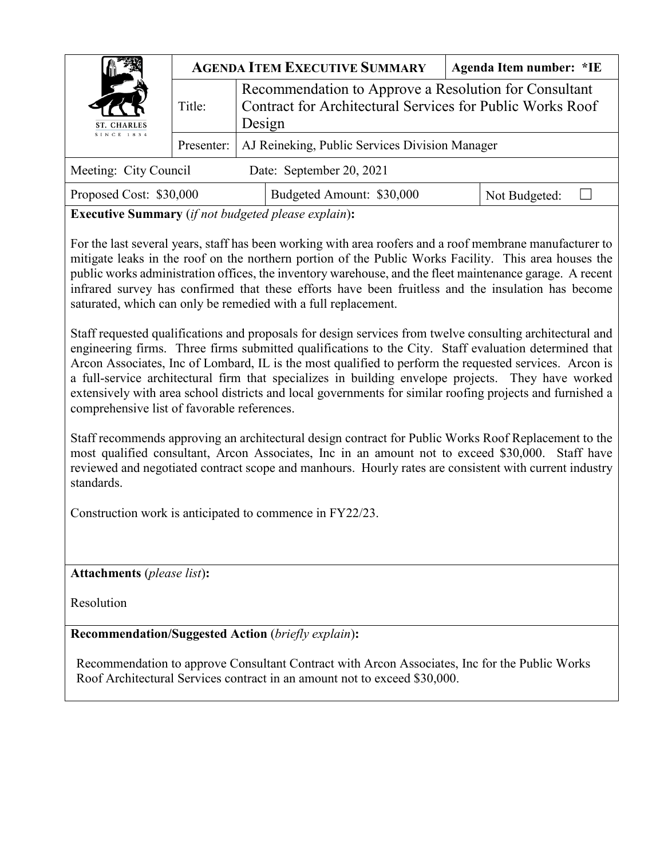| ST. CHARLES<br>SINCE 1834 |            |                                                                                                                              | <b>AGENDA ITEM EXECUTIVE SUMMARY</b> |  | Agenda Item number: *IE |  |
|---------------------------|------------|------------------------------------------------------------------------------------------------------------------------------|--------------------------------------|--|-------------------------|--|
|                           | Title:     | Recommendation to Approve a Resolution for Consultant<br>Contract for Architectural Services for Public Works Roof<br>Design |                                      |  |                         |  |
|                           | Presenter: | AJ Reineking, Public Services Division Manager                                                                               |                                      |  |                         |  |
| Meeting: City Council     |            |                                                                                                                              | Date: September 20, 2021             |  |                         |  |
| Proposed Cost: \$30,000   |            |                                                                                                                              | Budgeted Amount: \$30,000            |  | Not Budgeted:           |  |

**Executive Summary** (*if not budgeted please explain*)**:**

For the last several years, staff has been working with area roofers and a roof membrane manufacturer to mitigate leaks in the roof on the northern portion of the Public Works Facility. This area houses the public works administration offices, the inventory warehouse, and the fleet maintenance garage. A recent infrared survey has confirmed that these efforts have been fruitless and the insulation has become saturated, which can only be remedied with a full replacement.

Staff requested qualifications and proposals for design services from twelve consulting architectural and engineering firms. Three firms submitted qualifications to the City. Staff evaluation determined that Arcon Associates, Inc of Lombard, IL is the most qualified to perform the requested services. Arcon is a full-service architectural firm that specializes in building envelope projects. They have worked extensively with area school districts and local governments for similar roofing projects and furnished a comprehensive list of favorable references.

Staff recommends approving an architectural design contract for Public Works Roof Replacement to the most qualified consultant, Arcon Associates, Inc in an amount not to exceed \$30,000. Staff have reviewed and negotiated contract scope and manhours. Hourly rates are consistent with current industry standards.

Construction work is anticipated to commence in FY22/23.

**Attachments** (*please list*)**:** 

Resolution

**Recommendation/Suggested Action** (*briefly explain*)**:**

Recommendation to approve Consultant Contract with Arcon Associates, Inc for the Public Works Roof Architectural Services contract in an amount not to exceed \$30,000.